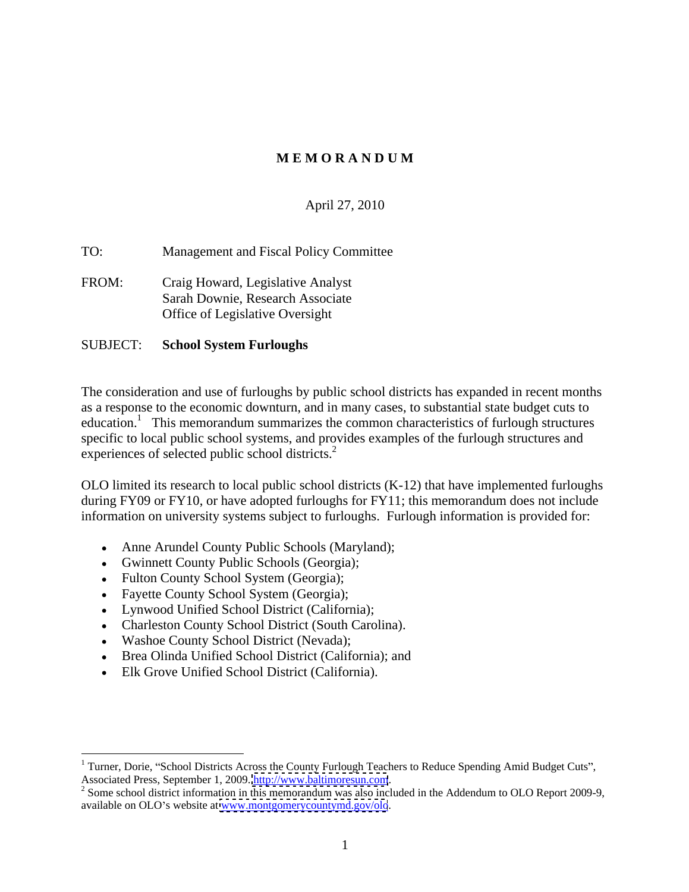# **M E M O R A N D U M**

# April 27, 2010

TO: Management and Fiscal Policy Committee

FROM: Craig Howard, Legislative Analyst Sarah Downie, Research Associate Office of Legislative Oversight

#### SUBJECT: **School System Furloughs**

The consideration and use of furloughs by public school districts has expanded in recent months as a response to the economic downturn, and in many cases, to substantial state budget cuts to education.<sup>1</sup> This memorandum summarizes the common characteristics of furlough structures specific to local public school systems, and provides examples of the furlough structures and experiences of selected public school districts.<sup>2</sup>

OLO limited its research to local public school districts (K-12) that have implemented furloughs during FY09 or FY10, or have adopted furloughs for FY11; this memorandum does not include information on university systems subject to furloughs. Furlough information is provided for:

- Anne Arundel County Public Schools (Maryland);
- Gwinnett County Public Schools (Georgia);
- Fulton County School System (Georgia);
- Fayette County School System (Georgia);
- Lynwood Unified School District (California);
- Charleston County School District (South Carolina).
- Washoe County School District (Nevada);
- Brea Olinda Unified School District (California); and
- Elk Grove Unified School District (California).

 $1$  Turner, Dorie, "School Districts Across the County Furlough Teachers to Reduce Spending Amid Budget Cuts",

Associated Press, September 1, 2009. <u>http://www.baltimoresun.com</u>.<br><sup>2</sup> Some school district information in this memorandum was also included in the Addendum to OLO Report 2009-9, available on OLO's website at [www.montgomerycountymd.gov/olo](http://www.montgomerycountymd.gov/olo).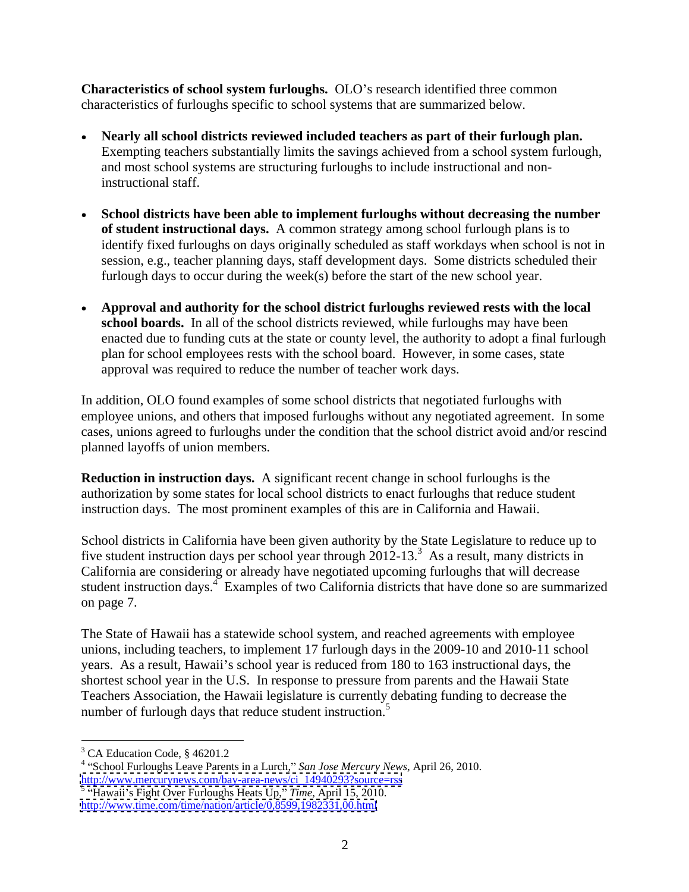**Characteristics of school system furloughs.** OLO's research identified three common characteristics of furloughs specific to school systems that are summarized below.

- Nearly all school districts reviewed included teachers as part of their furlough plan.<br>Exempting teachers substantially limits the savings achieved from a school system furlough, and most school systems are structuring f instructional staff.
- **School districts have been able to implement furloughs without decreasing the number of student instructional days.** A common strategy among school furlough plans is to identify fixed furloughs on days originally scheduled as staff workdays when school is not in session, e.g., teacher planning days, staff development days. Some districts scheduled their furlough days to occur during the week(s) before the start of the new school year.
- **Approval and authority for the school district furloughs reviewed rests with the local school boards.** In all of the school districts reviewed, while furloughs may have been enacted due to funding cuts at the state or county level, the authority to adopt a final furlough plan for school employees rests with the school board. However, in some cases, state approval was required to reduce the number of teacher work days.

In addition, OLO found examples of some school districts that negotiated furloughs with employee unions, and others that imposed furloughs without any negotiated agreement. In some cases, unions agreed to furloughs under the condition that the school district avoid and/or rescind planned layoffs of union members.

**Reduction in instruction days.** A significant recent change in school furloughs is the authorization by some states for local school districts to enact furloughs that reduce student instruction days. The most prominent examples of this are in California and Hawaii.

School districts in California have been given authority by the State Legislature to reduce up to five student instruction days per school year through  $2012-13.^3$ . As a result, many districts in California are considering or already have negotiated upcoming furloughs that will decrease student instruction days.<sup>4</sup> Examples of two California districts that have done so are summarized on page 7.

The State of Hawaii has a statewide school system, and reached agreements with employee unions, including teachers, to implement 17 furlough days in the 2009-10 and 2010-11 school years. As a result, Hawaii's school year is reduced from 180 to 163 instructional days, the shortest school year in the U.S. In response to pressure from parents and the Hawaii State Teachers Association, the Hawaii legislature is currently debating funding to decrease the number of furlough days that reduce student instruction.<sup>5</sup>

<sup>4</sup> "School Furloughs Leave Parents in a Lurch," San Jose Mercury News, April 26, 2010. [http://www.mercurynews.com/bay-area-news/ci\\_14940293?source=rss](http://www.mercurynews.com/bay-area-news/ci_14940293?source=rss) 5 "Hawaii's Fight Over Furloughs Heats Up," *Time*, April 15, 2010.

 $3 \text{ CA}$  Education Code  $8.462012$ CA Education Code, § 46201.2

<http://www.time.com/time/nation/article/0,8599,1982331,00.html>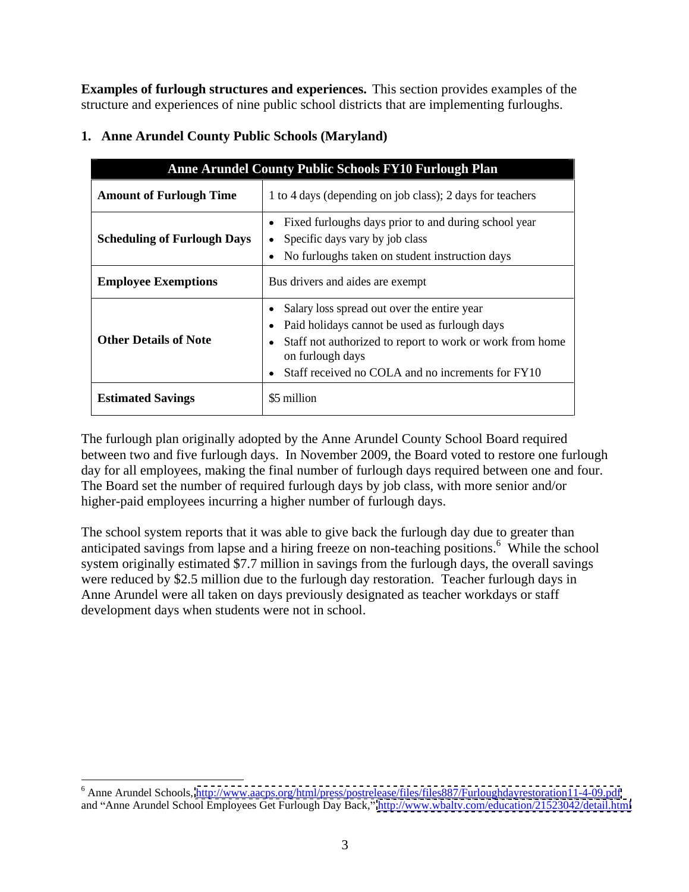**Examples of furlough structures and experiences.** This section provides examples of the structure and experiences of nine public school districts that are implementing furloughs.

|                                | Anne Arundel County Public Schools FY10 Furlough Plan                                                                                                                                                                                     |
|--------------------------------|-------------------------------------------------------------------------------------------------------------------------------------------------------------------------------------------------------------------------------------------|
| <b>Amount of Furlough Time</b> | 1 to 4 days (depending on job class); 2 days for teachers                                                                                                                                                                                 |
|                                | • Fixed furloughs days prior to and during school year<br>Scheduling of Furlough Days   • Specific days vary by job class<br>• No furloughs taken on student instruction days                                                             |
| <b>Employee Exemptions</b>     | Bus drivers and aides are exempt                                                                                                                                                                                                          |
| <b>Other Details of Note</b>   | • Salary loss spread out over the entire year<br>• Paid holidays cannot be used as furlough days<br>• Staff not authorized to report to work or work from home<br>on furlough days<br>• Staff received no COLA and no increments for FY10 |
| <b>Estimated Savings</b>       | \$5 million                                                                                                                                                                                                                               |

# **1. Anne Arundel County Public Schools (Maryland)**

The furlough plan originally adopted by the Anne Arundel County School Board required between two and five furlough days. In November 2009, the Board voted to restore one furlough day for all employees, making the final number of furlough days required between one and four. The Board set the number of required furlough days by job class, with more senior and/or higher-paid employees incurring a higher number of furlough days.

The school system reports that it was able to give back the furlough day due to greater than anticipated savings from lapse and a hiring freeze on non-teaching positions.<sup>6</sup> While the school While the school system originally estimated \$7.7 million in savings from the furlough days, the overall savings were reduced by \$2.5 million due to the furlough day restoration. Teacher furlough days in Anne Arundel were all taken on days previously designated as teacher workdays or staff development days when students were not in school.

 $^6$  Anna Arundal Schools, http://www.eeons.org/html/press/postralesse/files/files997/Eurloughdevrestoration11.4.00.pdf <sup>6</sup> Anne Arundel Schools, <u>http://www.aacps.org/html/press/postrelease/files/files887/Furloughdayrestoration11-4-09.pdf<br>and "Anne Arundel School Employees Get Furlough Day Back," <u>http://www.wbaltv.com/education/21523042/d</u></u>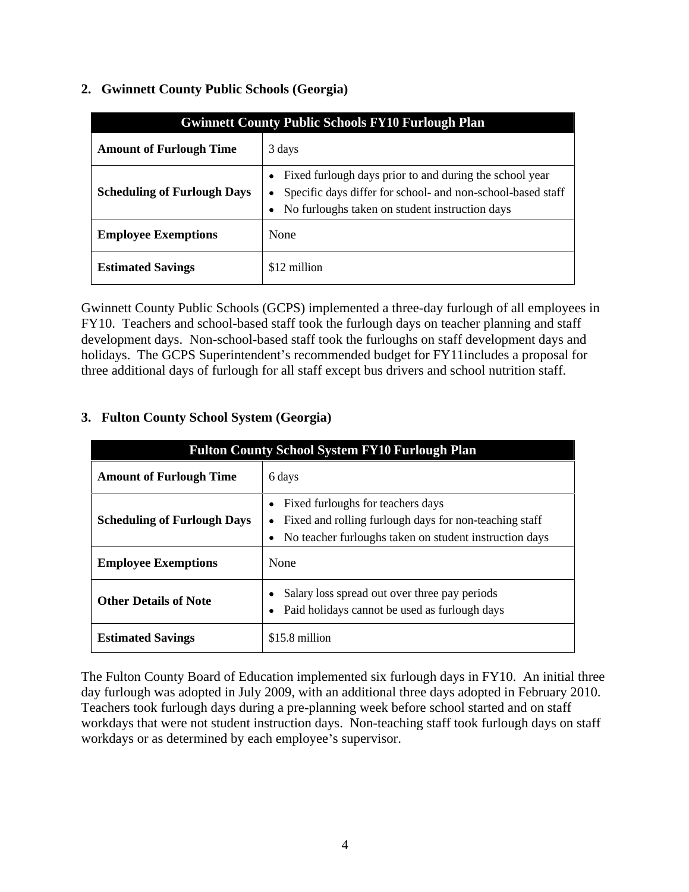| <b>Gwinnett County Public Schools FY10 Furlough Plan</b> |                                                                                                                                                                                                                |
|----------------------------------------------------------|----------------------------------------------------------------------------------------------------------------------------------------------------------------------------------------------------------------|
| <b>Amount of Furlough Time</b>                           | 3 days                                                                                                                                                                                                         |
|                                                          | • Fixed furlough days prior to and during the school year<br>Scheduling of Furlough Days   • Specific days differ for school- and non-school-based staff  <br>• No furloughs taken on student instruction days |
| <b>Employee Exemptions</b>                               | None                                                                                                                                                                                                           |
| <b>Estimated Savings</b>                                 | \$12 million                                                                                                                                                                                                   |

#### **2. Gwinnett County Public Schools (Georgia)**

Gwinnett County Public Schools (GCPS) implemented a three-day furlough of all employees in FY10. Teachers and school-based staff took the furlough days on teacher planning and staff development days. Non-school-based staff took the furloughs on staff development days and holidays. The GCPS Superintendent's recommended budget for FY11includes a proposal for three additional days of furlough for all staff except bus drivers and school nutrition staff.

### **3. Fulton County School System (Georgia)**

|                                    | Fulton County School System FY10 Furlough Plan                                                                                                              |
|------------------------------------|-------------------------------------------------------------------------------------------------------------------------------------------------------------|
| <b>Amount of Furlough Time</b>     | 6 days                                                                                                                                                      |
| <b>Scheduling of Furlough Days</b> | • Fixed furloughs for teachers days<br>• Fixed and rolling furlough days for non-teaching staff<br>• No teacher furloughs taken on student instruction days |
| <b>Employee Exemptions</b>         | None                                                                                                                                                        |
| <b>Other Details of Note</b>       | • Salary loss spread out over three pay periods<br>• Paid holidays cannot be used as furlough days                                                          |
| <b>Estimated Savings</b>           | $$15.8$ million                                                                                                                                             |

The Fulton County Board of Education implemented six furlough days in FY10. An initial three day furlough was adopted in July 2009, with an additional three days adopted in February 2010. Teachers took furlough days during a pre-planning week before school started and on staff workdays that were not student instruction days. Non-teaching staff took furlough days on staff workdays or as determined by each employee's supervisor.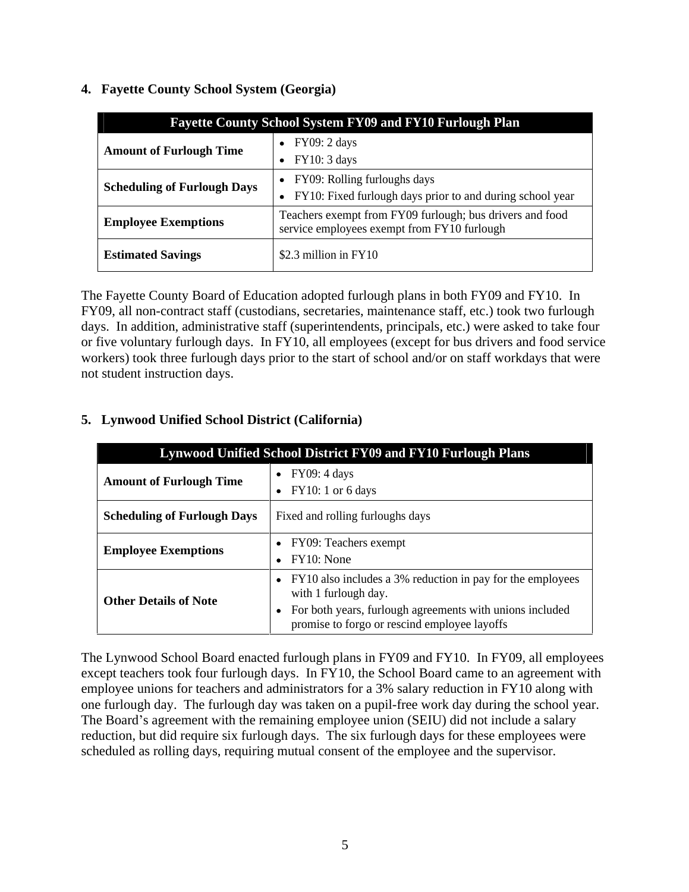**Fayette County School System FY09 and FY10 Furlough Plan Amount of Furlough Time**  $\bullet$  FY09: 2 days  $FY10: 3 days$ **Scheduling of Furlough Days**  $\bullet$  FY09: Rolling furloughs days FY10: Fixed furlough days prior to and during school year **Employee Exemptions** Teachers exempt from FY09 furlough; bus drivers and food service employees exempt from FY10 furlough **Estimated Savings**  $\left| \begin{array}{c} $2.3 \text{ million in FY10} \end{array} \right|$ 

#### **4. Fayette County School System (Georgia)**

The Fayette County Board of Education adopted furlough plans in both FY09 and FY10. In FY09, all non-contract staff (custodians, secretaries, maintenance staff, etc.) took two furlough days. In addition, administrative staff (superintendents, principals, etc.) were asked to take four or five voluntary furlough days. In FY10, all employees (except for bus drivers and food service workers) took three furlough days prior to the start of school and/or on staff workdays that were not student instruction days.

| Lynwood Unified School District FY09 and FY10 Furlough Plans |                                                                                                                                                                                                    |
|--------------------------------------------------------------|----------------------------------------------------------------------------------------------------------------------------------------------------------------------------------------------------|
| <b>Amount of Furlough Time</b>                               | $\bullet$ FY09: 4 days<br>• FY10: 1 or 6 days                                                                                                                                                      |
| <b>Scheduling of Furlough Days</b>                           | Fixed and rolling furloughs days                                                                                                                                                                   |
| <b>Employee Exemptions</b>                                   | $\bullet$ FY09: Teachers exempt<br>$\bullet$ FY10: None                                                                                                                                            |
| <b>Other Details of Note</b>                                 | • FY10 also includes a 3% reduction in pay for the employees<br>with 1 furlough day.<br>• For both years, furlough agreements with unions included<br>promise to forgo or rescind employee layoffs |

### **5. Lynwood Unified School District (California)**

The Lynwood School Board enacted furlough plans in FY09 and FY10. In FY09, all employees except teachers took four furlough days. In FY10, the School Board came to an agreement with employee unions for teachers and administrators for a 3% salary reduction in FY10 along with one furlough day. The furlough day was taken on a pupil-free work day during the school year. The Board's agreement with the remaining employee union (SEIU) did not include a salary reduction, but did require six furlough days. The six furlough days for these employees were scheduled as rolling days, requiring mutual consent of the employee and the supervisor.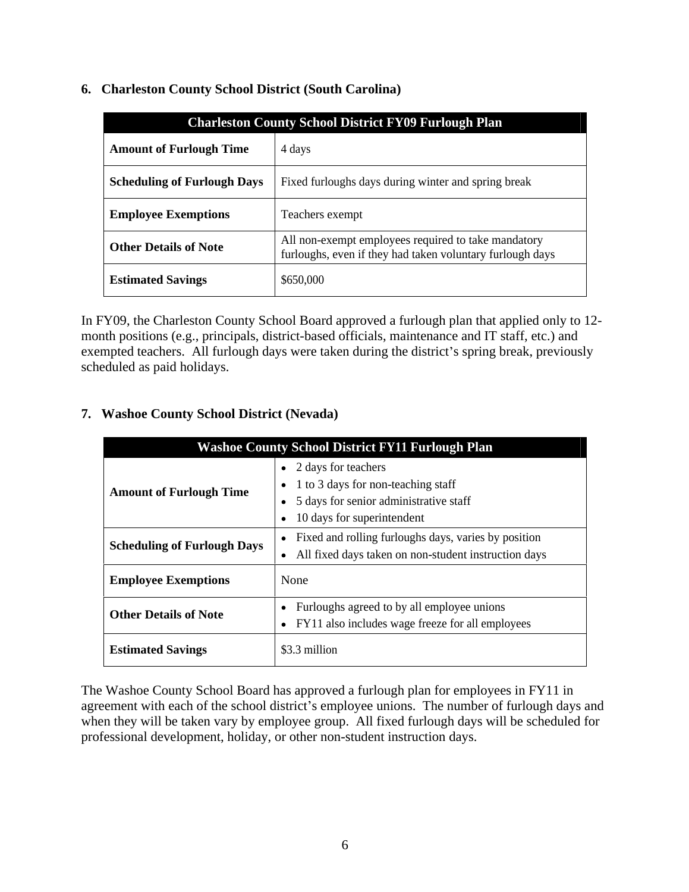|                                | Charleston County School District FY09 Furlough Plan                                                             |
|--------------------------------|------------------------------------------------------------------------------------------------------------------|
| <b>Amount of Furlough Time</b> | 4 days                                                                                                           |
|                                | Scheduling of Furlough Days   Fixed furloughs days during winter and spring break                                |
| <b>Employee Exemptions</b>     | Teachers exempt                                                                                                  |
| <b>Other Details of Note</b>   | All non-exempt employees required to take mandatory<br>furloughs, even if they had taken voluntary furlough days |
| <b>Estimated Savings</b>       | \$650,000                                                                                                        |

# **6. Charleston County School District (South Carolina)**

In FY09, the Charleston County School Board approved a furlough plan that applied only to 12 month positions (e.g., principals, district-based officials, maintenance and IT staff, etc.) and exempted teachers. All furlough days were taken during the district's spring break, previously scheduled as paid holidays.

# **7. Washoe County School District (Nevada)**

| <b>Washoe County School District FY11 Furlough Plan</b> |                                                                                                                                                                   |
|---------------------------------------------------------|-------------------------------------------------------------------------------------------------------------------------------------------------------------------|
| <b>Amount of Furlough Time</b>                          | $\bullet$ 2 days for teachers<br>$\bullet$ 1 to 3 days for non-teaching staff<br>• 5 days for senior administrative staff<br>$\bullet$ 10 days for superintendent |
| <b>Scheduling of Furlough Days</b>                      | • Fixed and rolling furloughs days, varies by position<br>• All fixed days taken on non-student instruction days                                                  |
| <b>Employee Exemptions</b>                              | None                                                                                                                                                              |
| <b>Other Details of Note</b>                            | • Furloughs agreed to by all employee unions<br>• FY11 also includes wage freeze for all employees                                                                |
| <b>Estimated Savings</b>                                | \$3.3 million                                                                                                                                                     |

The Washoe County School Board has approved a furlough plan for employees in FY11 in agreement with each of the school district's employee unions. The number of furlough days and when they will be taken vary by employee group. All fixed furlough days will be scheduled for professional development, holiday, or other non-student instruction days.